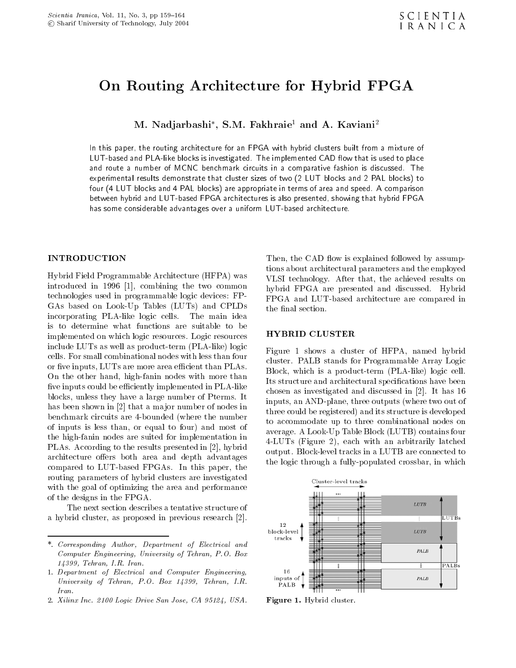## On Routing Architecture for Hybrid FPGA

M. Nadjarbashi , S.M. Fakhraie<sup>,</sup> and A. Kaviani<sup>-</sup>

In this paper, the routing architecture for an FPGA with hybrid clusters built from a mixture of LUT-based and PLA-like blocks is investigated. The implemented CAD flow that is used to place and route a number of MCNC benchmark circuits in a comparative fashion is discussed. The experimental results demonstrate that cluster sizes of two (2 LUT blocks and 2 PAL blocks) to four (4 LUT blocks and 4 PAL blocks) are appropriate in terms of area and speed. A comparison between hybrid and LUT-based FPGA architectures is also presented, showing that hybrid FPGA has some considerable advantages over a uniform LUT-based architecture.

Hybrid Field Programmable Architecture (HFPA) was introduced in <sup>1996</sup> [1], combining the two common technologies used in programmable logic devices: FP-GAs based on Look-Up Tables (LUTs) and CPLDs incorporating PLA-like logic cells. The main idea is to determine what functions are suitable to be implemented on which logic resources. Logic resources include LUTs as well as product-term (PLA-like) logic cells. For small combinational nodes with less than four or five inputs, LUTs are more area efficient than PLAs. On the other hand, high-fanin nodes with more than five inputs could be efficiently implemented in PLA-like blocks, unless they have a large number of Pterms. It has been shown in [2] that a major number of nodes in benchmark circuits are 4-bounded (where the number of inputs is less than, or equal to four) and most of the high-fanin nodes are suited for implementation in PLAs. According to the results presented in [2], hybrid architecture offers both area and depth advantages compared to LUT-based FPGAs. In this paper, the routing parameters of hybrid clusters are investigated with the goal of optimizing the area and performance of the designs in the FPGA.

The next section describes a tentative structure of <sup>a</sup> hybrid cluster, as proposed in previous research [2].

2. Xilinx Inc. 2100 Logic Drive San Jose, CA 95124, USA.

Then, the CAD flow is explained followed by assumptions about architectural parameters and the employed VLSI technology. After that, the achieved results on hybrid FPGA are presented and discussed. Hybrid FPGA and LUT-based architecture are compared in the final section.

### HYBRID CLUSTER

Figure <sup>1</sup> shows <sup>a</sup> cluster of HFPA, named hybrid cluster. PALB stands for Programmable Array Logic Block, which is <sup>a</sup> product-term (PLA-like) logic cell. Its structure and architectural specifications have been chosen as investigated and discussed in [2]. It has 16 inputs, an AND-plane, three outputs (where two out of three could be registered) and its structure is developed to accommodate up to three combinational nodes on average. A Look-Up Table Block (LUTB) contains four 4-LUTs (Figure 2), each with an arbitrarily latched output. Block-level tracks in a LUTB are connected to the logic through a fully-populated crossbar, in which



Figure 1. Hybrid cluster.

<sup>\*.</sup> Corresponding Author, Department of Electrical and Computer Engineering, University of Tehran, P.O. Box 14399, Tehran, I.R. Iran.

<sup>1.</sup> Department of Electrical and Computer Engineering, University of Tehran, P.O. Box 14399, Tehran, I.R. Iran.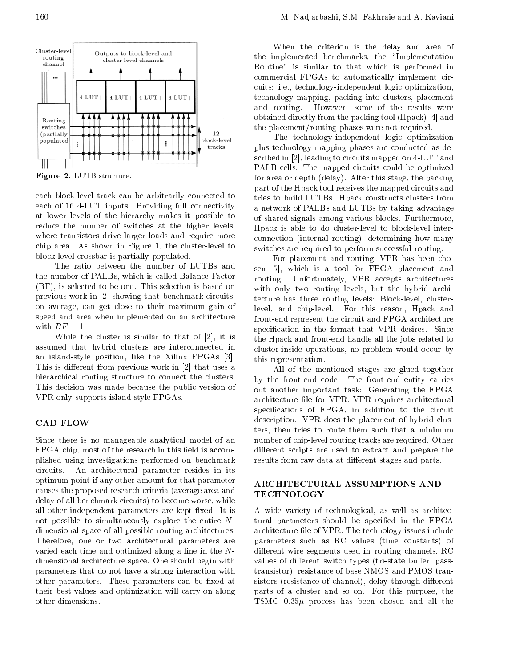

Figure 2. LUTB structure.

each block-level track can be arbitrarily connected to each of <sup>16</sup> 4-LUT inputs. Providing full connectivity at lower levels of the hierarchy makes it possible to reduce the number of switches at the higher levels, where transistors drive larger loads and require more chip area. As shown in Figure 1, the cluster-level to block-level crossbar is partially populated.

The ratio between the number of LUTBs and the number of PALBs, which is called Balance Factor (BF), is selected to be one. This selection is based on previous work in [2] showing that benchmark circuits, on average, can get close to their maximum gain of speed and area when implemented on an architecture with  $BF = 1$ .

While the cluster is similar to that of [2], it is assumed that hybrid clusters are interconnected in an island-style position, like the Xilinx FPGAs [3]. This is different from previous work in  $[2]$  that uses a hierarchical routing structure to connect the clusters. This decision was made because the public version of VPR only supports island-style FPGAs.

#### CAD FLOW

Since there is no manageable analytical model of an FPGA chip, most of the research in this field is accomplished using investigations performed on benchmark circuits. An architectural parameter resides in its optimum point if any other amount for that parameter causes the proposed research criteria (average area and delay of all benchmark circuits) to become worse, while all other independent parameters are kept fixed. It is not possible to simultaneously explore the entire N dimensional space of all possible routing architectures. Therefore, one or two architectural parameters are varied each time and optimized along a line in the N dimensional architecture space. One should begin with parameters that do not have a strong interaction with other parameters. These parameters can be fixed at their best values and optimization will carry on along other dimensions.

When the criterion is the delay and area of the implemented benchmarks, the \Implementation Routine" is similar to that which is performed in commercial FPGAs to automatically implement circuits: i.e., technology-independent logic optimization, technology mapping, packing into clusters, placement and routing. However, some of the results were obtained directly from the packing tool (Hpack) [4] and the placement/routing phases were not required.

The technology-independent logic optimization plus technology-mapping phases are conducted as described in [2], leading to circuits mapped on 4-LUT and PALB cells. The mapped circuits could be optimized for area or depth (delay). After this stage, the packing part of the Hpack tool receives the mapped circuits and tries to build LUTBs. Hpack constructs clusters from <sup>a</sup> network of PALBs and LUTBs by taking advantage of shared signals among various blocks. Furthermore, Hpack is able to do cluster-level to block-level interconnection (internal routing), determining how many switches are required to perform successful routing.

For placement and routing, VPR has been chosen [5], which is <sup>a</sup> tool for FPGA placement and routing. Unfortunately, VPR accepts architectures with only two routing levels, but the hybrid architecture has three routing levels: Block-level, clusterlevel, and chip-level. For this reason, Hpack and front-end represent the circuit and FPGA architecture specification in the format that VPR desires. Since the Hpack and front-end handle all the jobs related to cluster-inside operations, no problem would occur by this representation.

All of the mentioned stages are glued together by the front-end code. The front-end entity carries out another important task: Generating the FPGA architecture file for VPR. VPR requires architectural specifications of FPGA, in addition to the circuit description. VPR does the placement of hybrid clusters, then tries to route them such that <sup>a</sup> minimum number of chip-level routing tracks are required. Other different scripts are used to extract and prepare the results from raw data at different stages and parts.

### ARCHITECTURAL ASSUMPTIONS AND TECHNOLOGY

<sup>A</sup> wide variety of technological, as well as architectural parameters should be specied in the FPGA architecture file of VPR. The technology issues include parameters such as RC values (time constants) of different wire segments used in routing channels, RC values of different switch types (tri-state buffer, passtransistor), resistance of base NMOS and PMOS transistors (resistance of channel), delay through different parts of <sup>a</sup> cluster and so on. For this purpose, the TSMC  $0.35\mu$  process has been chosen and all the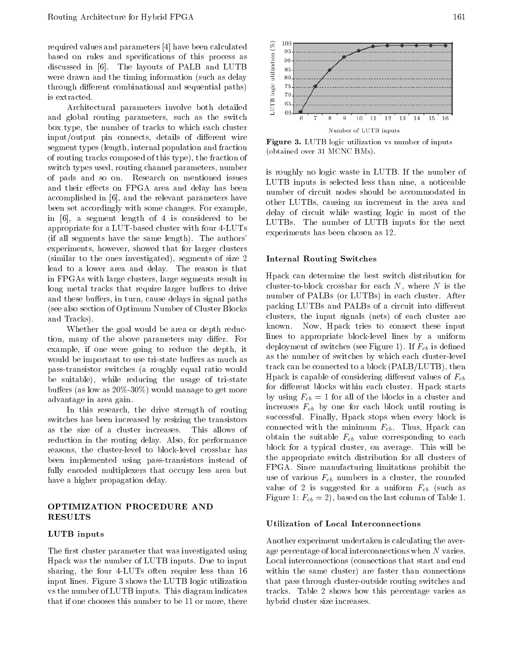required values and parameters [4] have been calculated<br>based on rules and specifications of this process as<br>discussed in [6]. The layouts of PALB and LUTB<br>were drawn and the timing information (such as delay<br>through diff based on rules and specications of this process as discussed in [6]. The layouts of PALB and LUTB  $\frac{3}{8}$   $\frac{85}{85}$ were drawn and the timing information (such as delay through different combinational and sequential paths) is extracted.

Architectural parameters involve both detailed and global routing parameters, such as the switch box type, the number of tracks to which each cluster input/output pin connects, details of different wire segment types (length, internal population and fraction of routing tracks composed of this type), the fraction of switch types used, routing channel parameters, number of pads and so on. Research on mentioned issues and their effects on FPGA area and delay has been accomplished in [6], and the relevant parameters have been set accordingly with some changes. For example, in  $[6]$ , a segment length of 4 is considered to be appropriate for a LUT-based cluster with four 4-LUTs (if all segments have the same length). The authors' experiments, however, showed that for larger clusters (similar to the ones investigated), segments of size <sup>2</sup> lead to a lower area and delay. The reason is that in FPGAs with large clusters, large segments result in long metal tracks that require larger buffers to drive and these buffers, in turn, cause delays in signal paths (see also section of Optimum Number of Cluster Blocks and Tracks).

Whether the goal would be area or depth reduction, many of the above parameters may differ. For example, if one were going to reduce the depth, it would be important to use tri-state buffers as much as pass-transistor switches (a roughly equal ratio would be suitable), while reducing the usage of tri-state buffers (as low as  $20\% - 30\%$ ) would manage to get more advantage in area gain.

In this research, the drive strength of routing switches has been increased by resizing the transistors as the size of <sup>a</sup> cluster increases. This allows of reduction in the routing delay. Also, for performance reasons, the cluster-level to block-level crossbar has been implemented using pass-transistors instead of fully encoded multiplexers that occupy less area but have a higher propagation delay.

#### OPTIMIZATION PROCEDURE AND RESULTS

#### LUTB inputs

The first cluster parameter that was investigated using Hpack was the number of LUTB inputs. Due to input sharing, the four 4-LUTs often require less than <sup>16</sup> input lines. Figure 3 shows the LUTB logic utilization vs the number of LUTB inputs. This diagram indicates that if one chooses this number to be 11 or more, there



Figure 3. LUTB logic utilization vs number of inputs (obtained over 31 MCNC BMs).

is roughly no logic waste in LUTB. If the number of LUTB inputs is selected less than nine, <sup>a</sup> noticeable number of circuit nodes should be accommodated in other LUTBs, causing an increment in the area and delay of circuit while wasting logic in most of the LUTBs. The number of LUTB inputs for the next experiments has been chosen as 12.

#### Internal Routing Switches

Hpack can determine the best switch distribution for cluster-to-block crossbar for each  $N$ , where  $N$  is the number of PALBs (or LUTBs) in each cluster. After packing LUTBs and PALBs of a circuit into different clusters, the input signals (nets) of each cluster are known. Now, Hpack tries to connect these input lines to appropriate block-level lines by <sup>a</sup> uniform deployment of switches (see Figure 1). If  $F_{cb}$  is defined as the number of switches by which each cluster-level track can be connected to a block (PALB/LUTB), then Hpack is capable of considering different values of  $F_{cb}$ for different blocks within each cluster. Hpack starts by using  $F_{cb} = 1$  for all of the blocks in a cluster and increases  $F_{cb}$  by one for each block until routing is successful. Finally, Hpack stops when every block is connected with the minimum  $F_{cb}$ . Thus, Hpack can obtain the suitable  $F_{cb}$  value corresponding to each block for <sup>a</sup> typical cluster, on average. This will be the appropriate switch distribution for all clusters of FPGA. Since manufacturing limitations prohibit the use of various  $F_{cb}$  numbers in a cluster, the rounded value of 2 is suggested for a uniform  $F_{cb}$  (such as Figure 1:  $F_{cb} = 2$ , based on the last column of Table 1.

#### Utilization of Local Interconnections

Another experiment undertaken is calculating the average percentage of local interconnections when  $N$  varies. Local interconnections (connections that start and end within the same cluster) are faster than connections that pass through cluster-outside routing switches and tracks. Table <sup>2</sup> shows how this percentage varies as hybrid cluster size increases.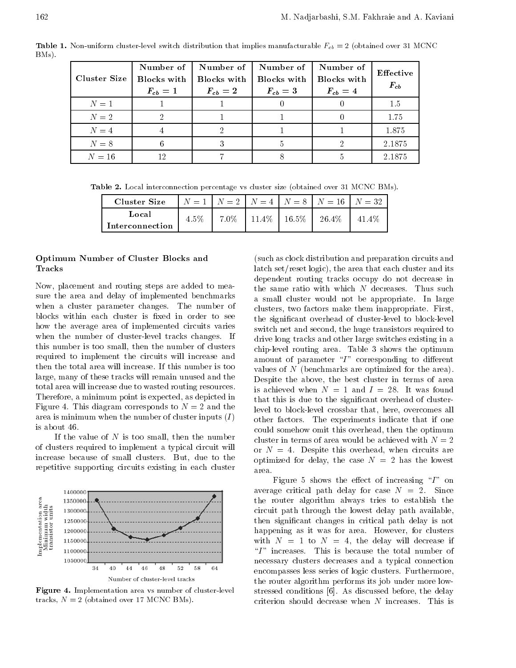**Table 1.** Non-uniform cluster-level switch distribution that implies manufacturable  $r_{cb} = 2$  (obtained over 31 MCNC) BMs).

| Cluster Size | Number of<br>Blocks with<br>$F_{cb}=1$ | Number of<br>Blocks with<br>$F_{cb}=2$ | Number of<br>Blocks with<br>$F_{cb} = 3$ | Number of<br><b>Blocks</b> with<br>$F_{cb} = 4$ | Effective<br>$F_{cb}$ |
|--------------|----------------------------------------|----------------------------------------|------------------------------------------|-------------------------------------------------|-----------------------|
| $N=1$        |                                        |                                        |                                          |                                                 | 1.5                   |
| $N=2$        |                                        |                                        |                                          |                                                 | 1.75                  |
| $N=4$        |                                        |                                        |                                          |                                                 | 1.875                 |
| $N=8$        | 6                                      | 3                                      | 5                                        | າ                                               | 2.1875                |
| $N=16$       | 12                                     |                                        |                                          |                                                 | 2.1875                |

Table 2. Local interconnection percentage vs cluster size (obtained over 31 MCNC BMs).

| Cluster Size    |      |  |                                    | $N = 1$ $N = 2$ $N = 4$ $N = 8$ $N = 16$ $N = 32$ |          |
|-----------------|------|--|------------------------------------|---------------------------------------------------|----------|
| Local           | 4.5% |  | $7.0\%$   11.4\%   16.5\%   26.4\% |                                                   | $41.4\%$ |
| Interconnection |      |  |                                    |                                                   |          |

#### Optimum Number of Cluster Blocks and Tracks

Now, placement and routing steps are added to measure the area and delay of implemented benchmarks when <sup>a</sup> cluster parameter changes. The number of blocks within each cluster is fixed in order to see how the average area of implemented circuits varies when the number of cluster-level tracks changes. If this number is too small, then the number of clusters required to implement the circuits will increase and then the total area will increase. If this number is too large, many of these tracks will remain unused and the total area will increase due to wasted routing resources. Therefore, a minimum point is expected, as depicted in Figure 4. This diagram corresponds to  $N = 2$  and the area is minimum when the number of cluster inputs  $(I)$ is about 46.

If the value of  $N$  is too small, then the number of clusters required to implement a typical circuit will increase because of small clusters. But, due to the repetitive supporting circuits existing in each cluster  $\qquad$   $\frac{r}{\text{area}}$ .



Figure 4. Implementation area vs number of cluster-level tracks,  $N = 2$  (obtained over 17 MCNC BMs).

(such as clock distribution and preparation circuits and latch set/reset logic), the area that each cluster and its dependent routing tracks occupy do not decrease in the same ratio with which  $N$  decreases. Thus such <sup>a</sup> small cluster would not be appropriate. In large clusters, two factors make them inappropriate. First, the signicant overhead of cluster-level to block-level switch net and second, the huge transistors required to drive long tracks and other large switches existing in a chip-level routing area. Table <sup>3</sup> shows the optimum amount of parameter " $I$ " corresponding to different values of <sup>N</sup> (benchmarks are optimized for the area). Despite the above, the best cluster in terms of area is achieved when  $N = 1$  and  $I = 28$ . It was found that this is due to the significant overhead of clusterlevel to block-level crossbar that, here, overcomes all other factors. The experiments indicate that if one could somehow omit this overhead, then the optimum cluster in terms of area would be achieved with  $N = 2$ or  $N = 4$ . Despite this overhead, when circuits are optimized for delay, the case  $N = 2$  has the lowest

Figure 5 shows the effect of increasing  $I''$  on average critical path delay for case  $N = 2$ . Since the router algorithm always tries to establish the circuit path through the lowest delay path available, then signicant changes in critical path delay is not happening as it was for area. However, for clusters with  $N = 1$  to  $N = 4$ , the delay will decrease if " $I$ " increases. This is because the total number of necessary clusters decreases and <sup>a</sup> typical connection encompasses less series of logic clusters. Furthermore, the router algorithm performs its job under more lowstressed conditions [6]. As discussed before, the delay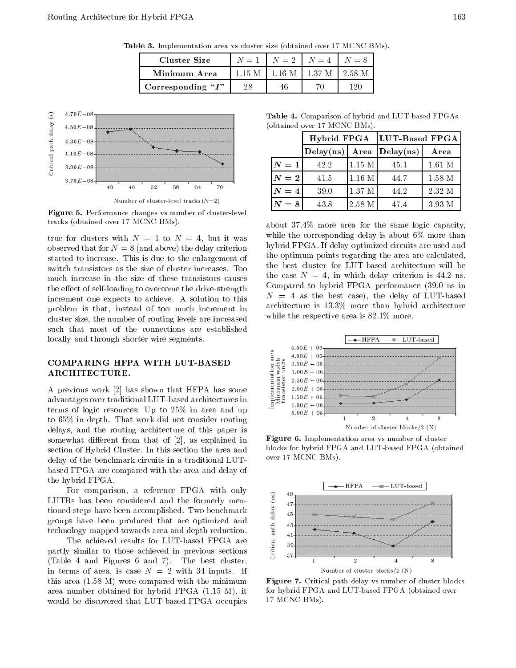| <b>Table 9.</b> Implementation area vs cluster size (obtained over 11 MCNC DMS). |    |    |                                       |     |  |  |
|----------------------------------------------------------------------------------|----|----|---------------------------------------|-----|--|--|
| Cluster Size                                                                     |    |    | $N = 1$   $N = 2$   $N = 4$   $N = 8$ |     |  |  |
| Minimum Area                                                                     |    |    | $1.15 M$   1.16 M   1.37 M   2.58 M   |     |  |  |
| Corresponding " $I$ "                                                            | 28 | 46 | 70                                    | 120 |  |  |



Figure 5. Performance changes vs number of cluster-level tracks (obtained over 17 MCNC BMs).

true for clusters with  $N = 1$  to  $N = 4$ , but it was observed that for  $N = 8$  (and above) the delay criterion started to increase. This is due to the enlargement of switch transistors as the size of cluster increases. Too much increase in the size of these transistors causes the effect of self-loading to overcome the drive-strength increment one expects to achieve. <sup>A</sup> solution to this problem is that, instead of too much increment in cluster size, the number of routing levels are increased such that most of the connections are established locally and through shorter wire segments.

# ARCHITECTURE.

COMPARING HFPA WITH LUT-BASED<br>
ARCHITECTURE.<br>
A previous work [2] has shown that HFPA has some<br>
advantages over traditional LUT-based architectures in <sup>A</sup> previous work [2] has shown that HFPA has some advantages over traditional LUT-based architectures in terms of logic resources: Up to 25% in area and up to 65% in depth. That work did not consider routing delays, and the routing architecture of this paper is somewhat different from that of  $[2]$ , as explained in section of Hybrid Cluster. In this section the area and delay of the benchmark circuits in a traditional LUTbased FPGA are compared with the area and delay of the hybrid FPGA.

For comparison, a reference FPGA with only<br>Bs has been considered and the formerly men-<br>d steps have been accomplished. Two benchmark<br>ps have been produced that are optimized and<br>indicate and depth reduction.<br>The achieved LUTBs has been considered and the formerly mentioned steps have been accomplished. Two benchmark groups have been produced that are optimized and technology mapped towards area and depth reduction.

The achieved results for LUT-based FPGA are partly similar to those achieved in previous sections (Table <sup>4</sup> and Figures <sup>6</sup> and 7). The best cluster, in terms of area, is case  $N = 2$  with 34 inputs. If this area (1.58 M) were compared with the minimum area number obtained for hybrid FPGA (1.15 M), it would be discovered that LUT-based FPGA occupies

Table 4. Comparison of hybrid and LUT-based FPGAs (obtained over 17 MCNC BMs).

|                   |                                   |          | Hybrid FPGA  LUT-Based FPGA |          |  |  |
|-------------------|-----------------------------------|----------|-----------------------------|----------|--|--|
|                   | $\text{Delay}(ns)$ Area Delay(ns) |          |                             | Area     |  |  |
| $ N=1 $           | 42.2                              | $1.15$ M | 45.1                        | $1.61$ M |  |  |
| $\vert N=2 \vert$ | 41.5                              | 1.16 M   | 44.7                        | 1.58 M   |  |  |
| $ N=4 $           | 39.0                              | 1.37 M   | 44.2                        | 2.32 M   |  |  |
| $ N=8 $           | 43.8                              | $2.58$ M | 47.4                        | 3.93 M   |  |  |

about 37.4% more area for the same logic capacity, while the corresponding delay is about 6% more than hybrid FPGA. If delay-optimized circuits are used and the optimum points regarding the area are calculated, the best cluster for LUT-based architecture will be the case  $N = 4$ , in which delay criterion is 44.2 ns. Compared to hybrid FPGA performance (39.0 ns in  $N = 4$  as the best case), the delay of LUT-based architecture is 13.3% more than hybrid architecture while the respective area is 82.1% more.



Figure 6. Implementation area vs number of cluster blocks for hybrid FPGA and LUT-based FPGA (obtained over 17 MCNC BMs).



Figure 7. Critical path delay vs number of cluster blocks for hybrid FPGA and LUT-based FPGA (obtained over <sup>17</sup> MCNC BMs).